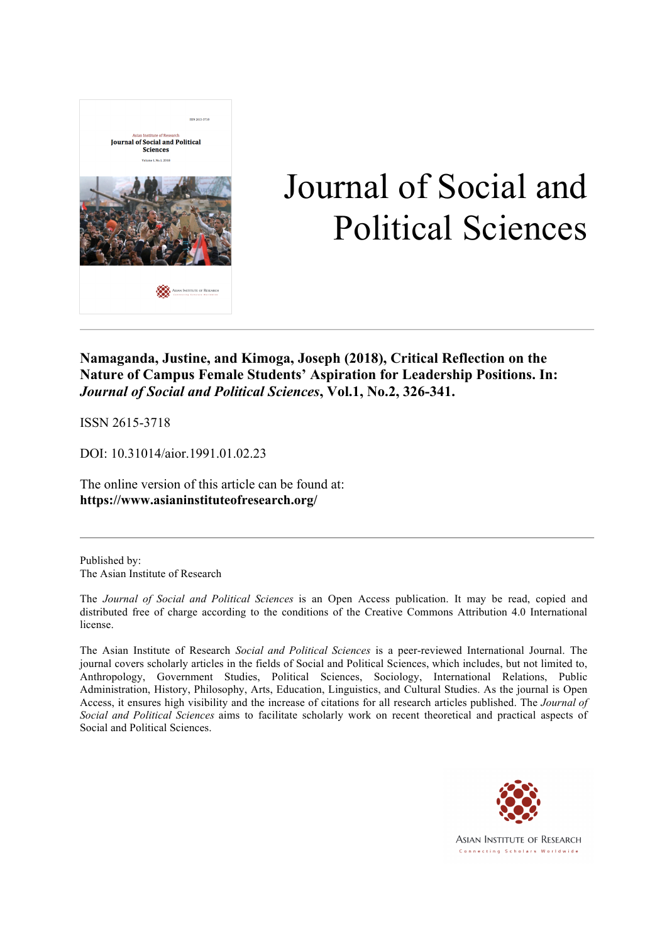

# Journal of Social and Political Sciences

**Namaganda, Justine, and Kimoga, Joseph (2018), Critical Reflection on the Nature of Campus Female Students' Aspiration for Leadership Positions. In:**  *Journal of Social and Political Sciences***, Vol.1, No.2, 326-341.**

ISSN 2615-3718

DOI: 10.31014/aior.1991.01.02.23

The online version of this article can be found at: **https://www.asianinstituteofresearch.org/**

Published by: The Asian Institute of Research

The *Journal of Social and Political Sciences* is an Open Access publication. It may be read, copied and distributed free of charge according to the conditions of the Creative Commons Attribution 4.0 International license.

The Asian Institute of Research *Social and Political Sciences* is a peer-reviewed International Journal. The journal covers scholarly articles in the fields of Social and Political Sciences, which includes, but not limited to, Anthropology, Government Studies, Political Sciences, Sociology, International Relations, Public Administration, History, Philosophy, Arts, Education, Linguistics, and Cultural Studies. As the journal is Open Access, it ensures high visibility and the increase of citations for all research articles published. The *Journal of Social and Political Sciences* aims to facilitate scholarly work on recent theoretical and practical aspects of Social and Political Sciences.



**ASIAN INSTITUTE OF RESEARCH** Connecting Scholars Worldwide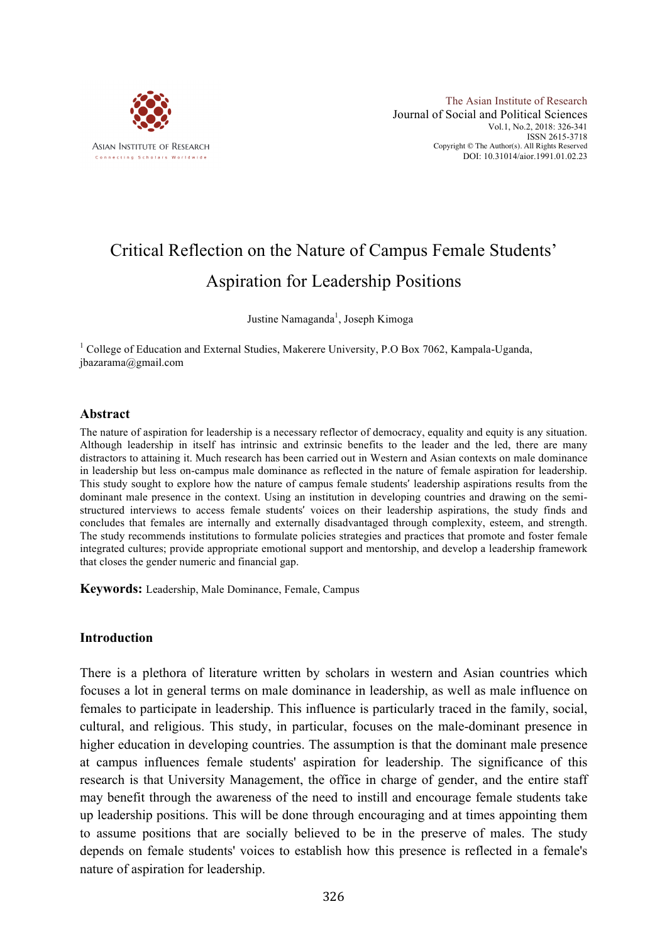

# Critical Reflection on the Nature of Campus Female Students' Aspiration for Leadership Positions

Justine Namaganda<sup>1</sup>, Joseph Kimoga

<sup>1</sup> College of Education and External Studies, Makerere University, P.O Box 7062, Kampala-Uganda, jbazarama@gmail.com

#### **Abstract**

The nature of aspiration for leadership is a necessary reflector of democracy, equality and equity is any situation. Although leadership in itself has intrinsic and extrinsic benefits to the leader and the led, there are many distractors to attaining it. Much research has been carried out in Western and Asian contexts on male dominance in leadership but less on-campus male dominance as reflected in the nature of female aspiration for leadership. This study sought to explore how the nature of campus female students' leadership aspirations results from the dominant male presence in the context. Using an institution in developing countries and drawing on the semistructured interviews to access female students' voices on their leadership aspirations, the study finds and concludes that females are internally and externally disadvantaged through complexity, esteem, and strength. The study recommends institutions to formulate policies strategies and practices that promote and foster female integrated cultures; provide appropriate emotional support and mentorship, and develop a leadership framework that closes the gender numeric and financial gap.

**Keywords:** Leadership, Male Dominance, Female, Campus

#### **Introduction**

There is a plethora of literature written by scholars in western and Asian countries which focuses a lot in general terms on male dominance in leadership, as well as male influence on females to participate in leadership. This influence is particularly traced in the family, social, cultural, and religious. This study, in particular, focuses on the male-dominant presence in higher education in developing countries. The assumption is that the dominant male presence at campus influences female students' aspiration for leadership. The significance of this research is that University Management, the office in charge of gender, and the entire staff may benefit through the awareness of the need to instill and encourage female students take up leadership positions. This will be done through encouraging and at times appointing them to assume positions that are socially believed to be in the preserve of males. The study depends on female students' voices to establish how this presence is reflected in a female's nature of aspiration for leadership.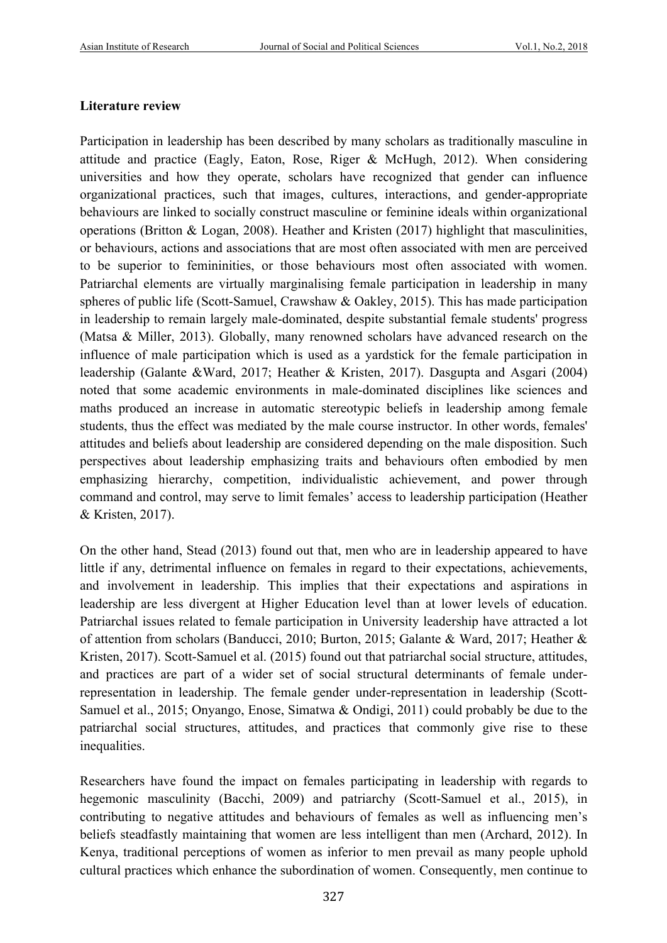# **Literature review**

Participation in leadership has been described by many scholars as traditionally masculine in attitude and practice (Eagly, Eaton, Rose, Riger & McHugh, 2012). When considering universities and how they operate, scholars have recognized that gender can influence organizational practices, such that images, cultures, interactions, and gender-appropriate behaviours are linked to socially construct masculine or feminine ideals within organizational operations (Britton & Logan, 2008). Heather and Kristen (2017) highlight that masculinities, or behaviours, actions and associations that are most often associated with men are perceived to be superior to femininities, or those behaviours most often associated with women. Patriarchal elements are virtually marginalising female participation in leadership in many spheres of public life (Scott-Samuel, Crawshaw & Oakley, 2015). This has made participation in leadership to remain largely male-dominated, despite substantial female students' progress (Matsa & Miller, 2013). Globally, many renowned scholars have advanced research on the influence of male participation which is used as a yardstick for the female participation in leadership (Galante &Ward, 2017; Heather & Kristen, 2017). Dasgupta and Asgari (2004) noted that some academic environments in male-dominated disciplines like sciences and maths produced an increase in automatic stereotypic beliefs in leadership among female students, thus the effect was mediated by the male course instructor. In other words, females' attitudes and beliefs about leadership are considered depending on the male disposition. Such perspectives about leadership emphasizing traits and behaviours often embodied by men emphasizing hierarchy, competition, individualistic achievement, and power through command and control, may serve to limit females' access to leadership participation (Heather & Kristen, 2017).

On the other hand, Stead (2013) found out that, men who are in leadership appeared to have little if any, detrimental influence on females in regard to their expectations, achievements, and involvement in leadership. This implies that their expectations and aspirations in leadership are less divergent at Higher Education level than at lower levels of education. Patriarchal issues related to female participation in University leadership have attracted a lot of attention from scholars (Banducci, 2010; Burton, 2015; Galante & Ward, 2017; Heather & Kristen, 2017). Scott-Samuel et al. (2015) found out that patriarchal social structure, attitudes, and practices are part of a wider set of social structural determinants of female underrepresentation in leadership. The female gender under-representation in leadership (Scott-Samuel et al., 2015; Onyango, Enose, Simatwa & Ondigi, 2011) could probably be due to the patriarchal social structures, attitudes, and practices that commonly give rise to these inequalities.

Researchers have found the impact on females participating in leadership with regards to hegemonic masculinity (Bacchi, 2009) and patriarchy (Scott-Samuel et al., 2015), in contributing to negative attitudes and behaviours of females as well as influencing men's beliefs steadfastly maintaining that women are less intelligent than men (Archard, 2012). In Kenya, traditional perceptions of women as inferior to men prevail as many people uphold cultural practices which enhance the subordination of women. Consequently, men continue to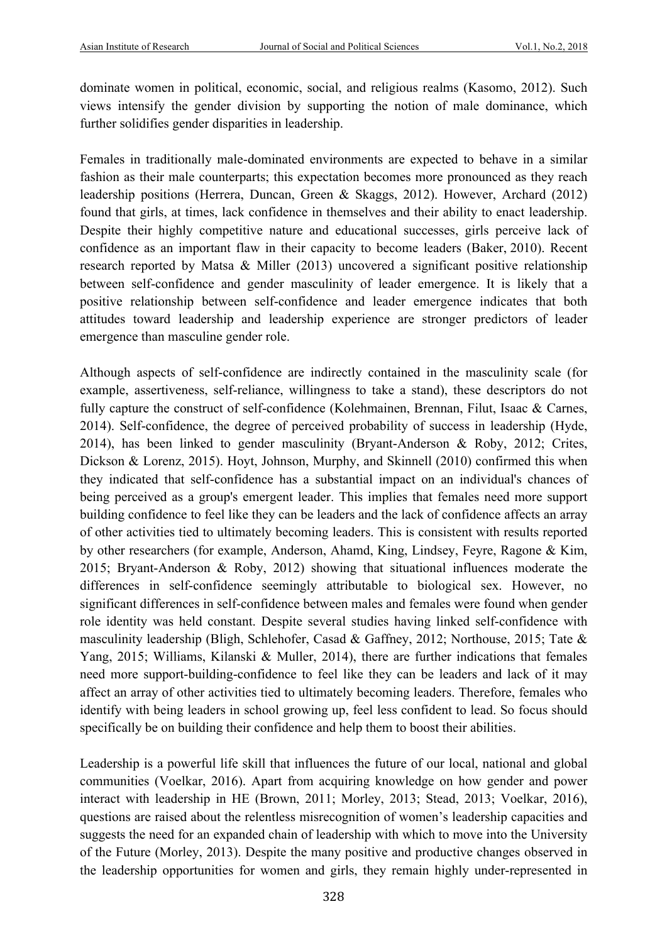dominate women in political, economic, social, and religious realms (Kasomo, 2012). Such views intensify the gender division by supporting the notion of male dominance, which further solidifies gender disparities in leadership.

Females in traditionally male-dominated environments are expected to behave in a similar fashion as their male counterparts; this expectation becomes more pronounced as they reach leadership positions (Herrera, Duncan, Green & Skaggs, 2012). However, Archard (2012) found that girls, at times, lack confidence in themselves and their ability to enact leadership. Despite their highly competitive nature and educational successes, girls perceive lack of confidence as an important flaw in their capacity to become leaders (Baker, 2010). Recent research reported by Matsa & Miller (2013) uncovered a significant positive relationship between self-confidence and gender masculinity of leader emergence. It is likely that a positive relationship between self-confidence and leader emergence indicates that both attitudes toward leadership and leadership experience are stronger predictors of leader emergence than masculine gender role.

Although aspects of self-confidence are indirectly contained in the masculinity scale (for example, assertiveness, self-reliance, willingness to take a stand), these descriptors do not fully capture the construct of self-confidence (Kolehmainen, Brennan, Filut, Isaac & Carnes, 2014). Self-confidence, the degree of perceived probability of success in leadership (Hyde, 2014), has been linked to gender masculinity (Bryant-Anderson & Roby, 2012; Crites, Dickson & Lorenz, 2015). Hoyt, Johnson, Murphy, and Skinnell (2010) confirmed this when they indicated that self-confidence has a substantial impact on an individual's chances of being perceived as a group's emergent leader. This implies that females need more support building confidence to feel like they can be leaders and the lack of confidence affects an array of other activities tied to ultimately becoming leaders. This is consistent with results reported by other researchers (for example, Anderson, Ahamd, King, Lindsey, Feyre, Ragone & Kim, 2015; Bryant-Anderson & Roby, 2012) showing that situational influences moderate the differences in self-confidence seemingly attributable to biological sex. However, no significant differences in self-confidence between males and females were found when gender role identity was held constant. Despite several studies having linked self-confidence with masculinity leadership (Bligh, Schlehofer, Casad & Gaffney, 2012; Northouse, 2015; Tate & Yang, 2015; Williams, Kilanski & Muller, 2014), there are further indications that females need more support-building-confidence to feel like they can be leaders and lack of it may affect an array of other activities tied to ultimately becoming leaders. Therefore, females who identify with being leaders in school growing up, feel less confident to lead. So focus should specifically be on building their confidence and help them to boost their abilities.

Leadership is a powerful life skill that influences the future of our local, national and global communities (Voelkar, 2016). Apart from acquiring knowledge on how gender and power interact with leadership in HE (Brown, 2011; Morley, 2013; Stead, 2013; Voelkar, 2016), questions are raised about the relentless misrecognition of women's leadership capacities and suggests the need for an expanded chain of leadership with which to move into the University of the Future (Morley, 2013). Despite the many positive and productive changes observed in the leadership opportunities for women and girls, they remain highly under-represented in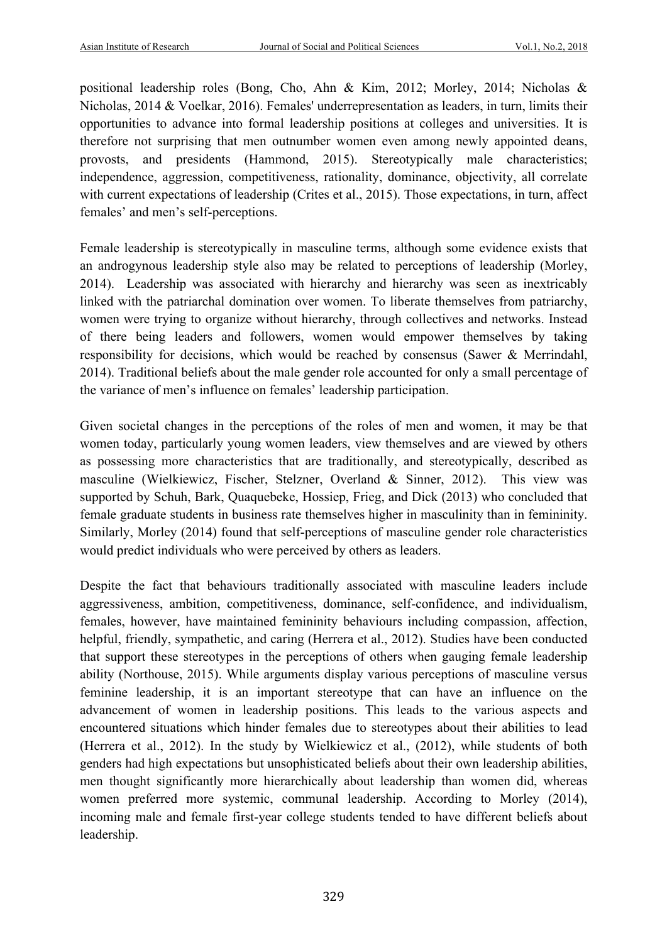positional leadership roles (Bong, Cho, Ahn & Kim, 2012; Morley, 2014; Nicholas & Nicholas, 2014 & Voelkar, 2016). Females' underrepresentation as leaders, in turn, limits their opportunities to advance into formal leadership positions at colleges and universities. It is therefore not surprising that men outnumber women even among newly appointed deans, provosts, and presidents (Hammond, 2015). Stereotypically male characteristics; independence, aggression, competitiveness, rationality, dominance, objectivity, all correlate with current expectations of leadership (Crites et al., 2015). Those expectations, in turn, affect females' and men's self-perceptions.

Female leadership is stereotypically in masculine terms, although some evidence exists that an androgynous leadership style also may be related to perceptions of leadership (Morley, 2014). Leadership was associated with hierarchy and hierarchy was seen as inextricably linked with the patriarchal domination over women. To liberate themselves from patriarchy, women were trying to organize without hierarchy, through collectives and networks. Instead of there being leaders and followers, women would empower themselves by taking responsibility for decisions, which would be reached by consensus (Sawer & Merrindahl, 2014). Traditional beliefs about the male gender role accounted for only a small percentage of the variance of men's influence on females' leadership participation.

Given societal changes in the perceptions of the roles of men and women, it may be that women today, particularly young women leaders, view themselves and are viewed by others as possessing more characteristics that are traditionally, and stereotypically, described as masculine (Wielkiewicz, Fischer, Stelzner, Overland & Sinner, 2012). This view was supported by Schuh, Bark, Quaquebeke, Hossiep, Frieg, and Dick (2013) who concluded that female graduate students in business rate themselves higher in masculinity than in femininity. Similarly, Morley (2014) found that self-perceptions of masculine gender role characteristics would predict individuals who were perceived by others as leaders.

Despite the fact that behaviours traditionally associated with masculine leaders include aggressiveness, ambition, competitiveness, dominance, self-confidence, and individualism, females, however, have maintained femininity behaviours including compassion, affection, helpful, friendly, sympathetic, and caring (Herrera et al., 2012). Studies have been conducted that support these stereotypes in the perceptions of others when gauging female leadership ability (Northouse, 2015). While arguments display various perceptions of masculine versus feminine leadership, it is an important stereotype that can have an influence on the advancement of women in leadership positions. This leads to the various aspects and encountered situations which hinder females due to stereotypes about their abilities to lead (Herrera et al., 2012). In the study by Wielkiewicz et al., (2012), while students of both genders had high expectations but unsophisticated beliefs about their own leadership abilities, men thought significantly more hierarchically about leadership than women did, whereas women preferred more systemic, communal leadership. According to Morley (2014), incoming male and female first-year college students tended to have different beliefs about leadership.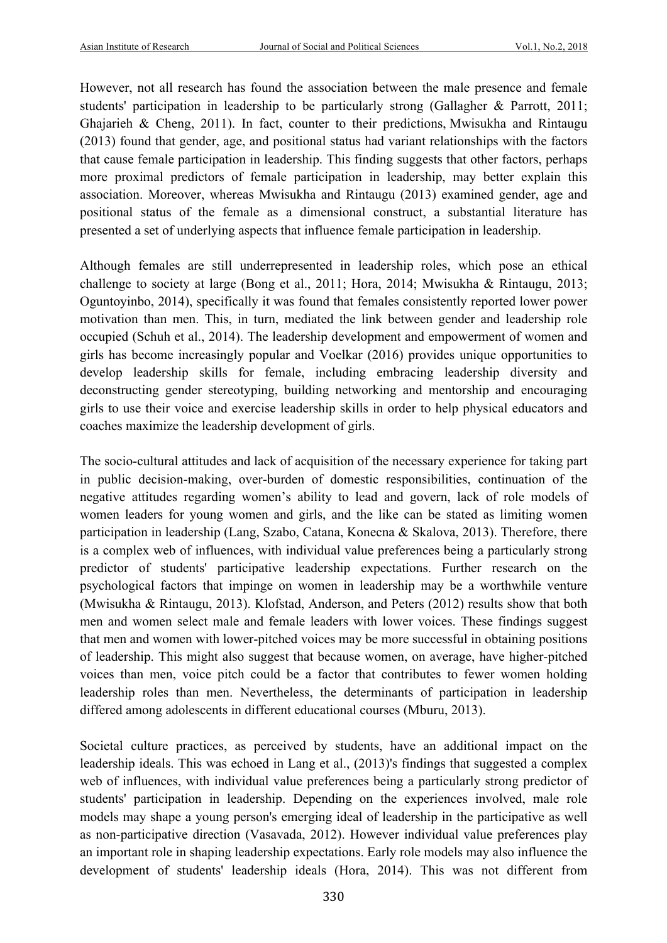However, not all research has found the association between the male presence and female students' participation in leadership to be particularly strong (Gallagher & Parrott, 2011; Ghajarieh & Cheng, 2011). In fact, counter to their predictions, Mwisukha and Rintaugu (2013) found that gender, age, and positional status had variant relationships with the factors that cause female participation in leadership. This finding suggests that other factors, perhaps more proximal predictors of female participation in leadership, may better explain this association. Moreover, whereas Mwisukha and Rintaugu (2013) examined gender, age and positional status of the female as a dimensional construct, a substantial literature has presented a set of underlying aspects that influence female participation in leadership.

Although females are still underrepresented in leadership roles, which pose an ethical challenge to society at large (Bong et al., 2011; Hora, 2014; Mwisukha & Rintaugu, 2013; Oguntoyinbo, 2014), specifically it was found that females consistently reported lower power motivation than men. This, in turn, mediated the link between gender and leadership role occupied (Schuh et al., 2014). The leadership development and empowerment of women and girls has become increasingly popular and Voelkar (2016) provides unique opportunities to develop leadership skills for female, including embracing leadership diversity and deconstructing gender stereotyping, building networking and mentorship and encouraging girls to use their voice and exercise leadership skills in order to help physical educators and coaches maximize the leadership development of girls.

The socio-cultural attitudes and lack of acquisition of the necessary experience for taking part in public decision-making, over-burden of domestic responsibilities, continuation of the negative attitudes regarding women's ability to lead and govern, lack of role models of women leaders for young women and girls, and the like can be stated as limiting women participation in leadership (Lang, Szabo, Catana, Konecna & Skalova, 2013). Therefore, there is a complex web of influences, with individual value preferences being a particularly strong predictor of students' participative leadership expectations. Further research on the psychological factors that impinge on women in leadership may be a worthwhile venture (Mwisukha & Rintaugu, 2013). Klofstad, Anderson, and Peters (2012) results show that both men and women select male and female leaders with lower voices. These findings suggest that men and women with lower-pitched voices may be more successful in obtaining positions of leadership. This might also suggest that because women, on average, have higher-pitched voices than men, voice pitch could be a factor that contributes to fewer women holding leadership roles than men. Nevertheless, the determinants of participation in leadership differed among adolescents in different educational courses (Mburu, 2013).

Societal culture practices, as perceived by students, have an additional impact on the leadership ideals. This was echoed in Lang et al., (2013)'s findings that suggested a complex web of influences, with individual value preferences being a particularly strong predictor of students' participation in leadership. Depending on the experiences involved, male role models may shape a young person's emerging ideal of leadership in the participative as well as non-participative direction (Vasavada, 2012). However individual value preferences play an important role in shaping leadership expectations. Early role models may also influence the development of students' leadership ideals (Hora, 2014). This was not different from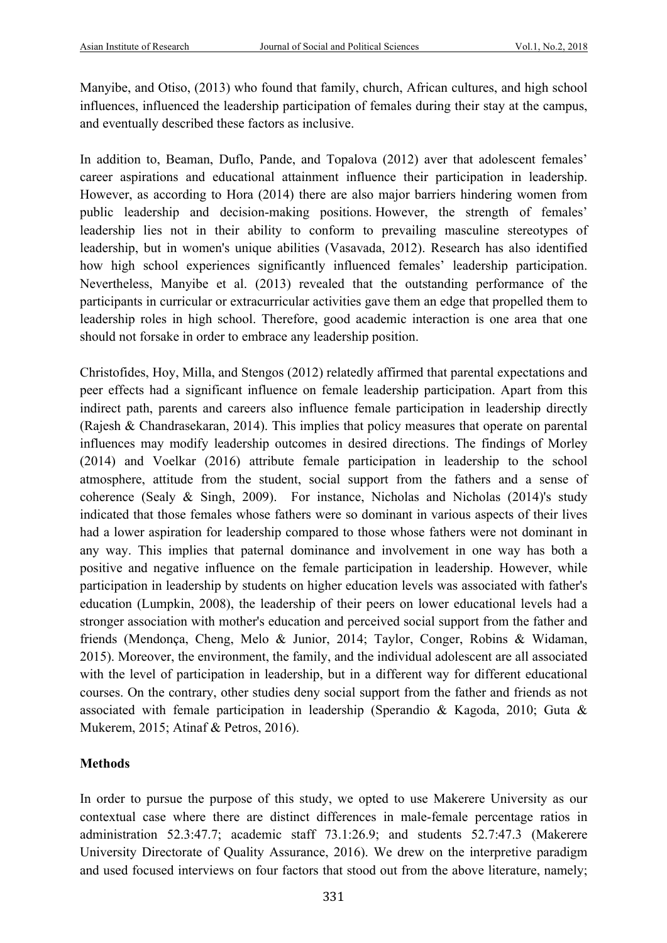Manyibe, and Otiso, (2013) who found that family, church, African cultures, and high school influences, influenced the leadership participation of females during their stay at the campus, and eventually described these factors as inclusive.

In addition to, Beaman, Duflo, Pande, and Topalova (2012) aver that adolescent females' career aspirations and educational attainment influence their participation in leadership. However, as according to Hora (2014) there are also major barriers hindering women from public leadership and decision-making positions. However, the strength of females' leadership lies not in their ability to conform to prevailing masculine stereotypes of leadership, but in women's unique abilities (Vasavada, 2012). Research has also identified how high school experiences significantly influenced females' leadership participation. Nevertheless, Manyibe et al. (2013) revealed that the outstanding performance of the participants in curricular or extracurricular activities gave them an edge that propelled them to leadership roles in high school. Therefore, good academic interaction is one area that one should not forsake in order to embrace any leadership position.

Christofides, Hoy, Milla, and Stengos (2012) relatedly affirmed that parental expectations and peer effects had a significant influence on female leadership participation. Apart from this indirect path, parents and careers also influence female participation in leadership directly (Rajesh & Chandrasekaran, 2014). This implies that policy measures that operate on parental influences may modify leadership outcomes in desired directions. The findings of Morley (2014) and Voelkar (2016) attribute female participation in leadership to the school atmosphere, attitude from the student, social support from the fathers and a sense of coherence (Sealy & Singh, 2009). For instance, Nicholas and Nicholas (2014)'s study indicated that those females whose fathers were so dominant in various aspects of their lives had a lower aspiration for leadership compared to those whose fathers were not dominant in any way. This implies that paternal dominance and involvement in one way has both a positive and negative influence on the female participation in leadership. However, while participation in leadership by students on higher education levels was associated with father's education (Lumpkin, 2008), the leadership of their peers on lower educational levels had a stronger association with mother's education and perceived social support from the father and friends (Mendonça, Cheng, Melo & Junior, 2014; Taylor, Conger, Robins & Widaman, 2015). Moreover, the environment, the family, and the individual adolescent are all associated with the level of participation in leadership, but in a different way for different educational courses. On the contrary, other studies deny social support from the father and friends as not associated with female participation in leadership (Sperandio & Kagoda, 2010; Guta & Mukerem, 2015; Atinaf & Petros, 2016).

# **Methods**

In order to pursue the purpose of this study, we opted to use Makerere University as our contextual case where there are distinct differences in male-female percentage ratios in administration 52.3:47.7; academic staff 73.1:26.9; and students 52.7:47.3 (Makerere University Directorate of Quality Assurance, 2016). We drew on the interpretive paradigm and used focused interviews on four factors that stood out from the above literature, namely;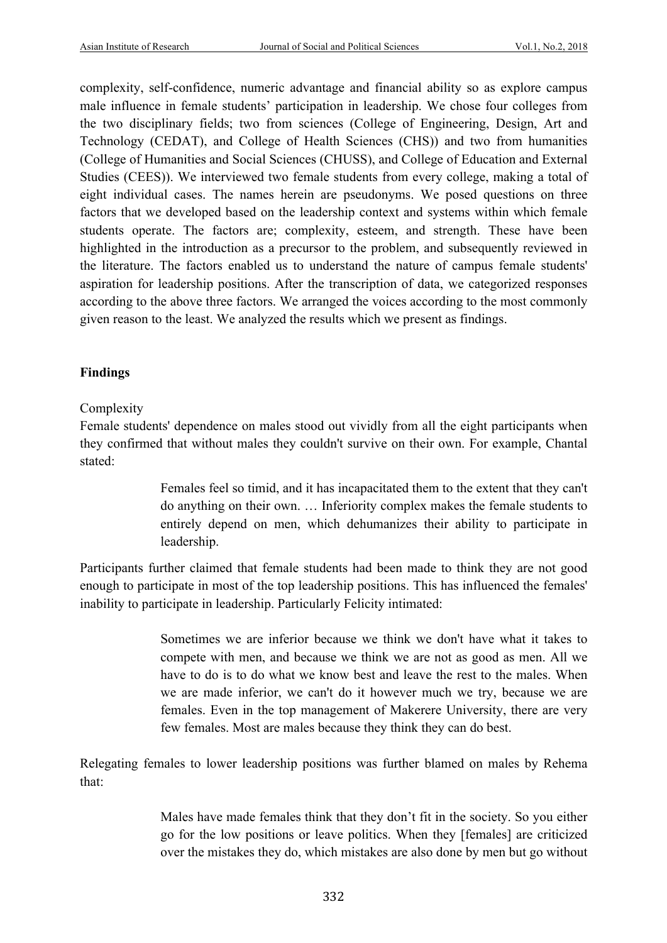complexity, self-confidence, numeric advantage and financial ability so as explore campus male influence in female students' participation in leadership. We chose four colleges from the two disciplinary fields; two from sciences (College of Engineering, Design, Art and Technology (CEDAT), and College of Health Sciences (CHS)) and two from humanities (College of Humanities and Social Sciences (CHUSS), and College of Education and External Studies (CEES)). We interviewed two female students from every college, making a total of eight individual cases. The names herein are pseudonyms. We posed questions on three factors that we developed based on the leadership context and systems within which female students operate. The factors are; complexity, esteem, and strength. These have been highlighted in the introduction as a precursor to the problem, and subsequently reviewed in the literature. The factors enabled us to understand the nature of campus female students' aspiration for leadership positions. After the transcription of data, we categorized responses according to the above three factors. We arranged the voices according to the most commonly given reason to the least. We analyzed the results which we present as findings.

# **Findings**

# Complexity

Female students' dependence on males stood out vividly from all the eight participants when they confirmed that without males they couldn't survive on their own. For example, Chantal stated:

> Females feel so timid, and it has incapacitated them to the extent that they can't do anything on their own. … Inferiority complex makes the female students to entirely depend on men, which dehumanizes their ability to participate in leadership.

Participants further claimed that female students had been made to think they are not good enough to participate in most of the top leadership positions. This has influenced the females' inability to participate in leadership. Particularly Felicity intimated:

> Sometimes we are inferior because we think we don't have what it takes to compete with men, and because we think we are not as good as men. All we have to do is to do what we know best and leave the rest to the males. When we are made inferior, we can't do it however much we try, because we are females. Even in the top management of Makerere University, there are very few females. Most are males because they think they can do best.

Relegating females to lower leadership positions was further blamed on males by Rehema that:

> Males have made females think that they don't fit in the society. So you either go for the low positions or leave politics. When they [females] are criticized over the mistakes they do, which mistakes are also done by men but go without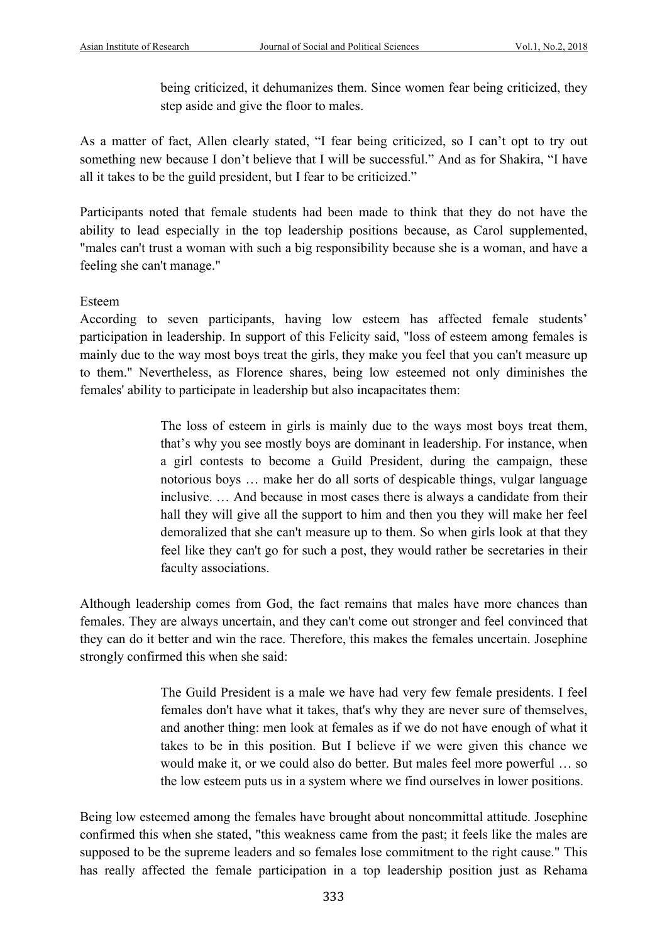being criticized, it dehumanizes them. Since women fear being criticized, they step aside and give the floor to males.

As a matter of fact, Allen clearly stated, "I fear being criticized, so I can't opt to try out something new because I don't believe that I will be successful." And as for Shakira, "I have all it takes to be the guild president, but I fear to be criticized."

Participants noted that female students had been made to think that they do not have the ability to lead especially in the top leadership positions because, as Carol supplemented, "males can't trust a woman with such a big responsibility because she is a woman, and have a feeling she can't manage."

Esteem

According to seven participants, having low esteem has affected female students' participation in leadership. In support of this Felicity said, "loss of esteem among females is mainly due to the way most boys treat the girls, they make you feel that you can't measure up to them." Nevertheless, as Florence shares, being low esteemed not only diminishes the females' ability to participate in leadership but also incapacitates them:

> The loss of esteem in girls is mainly due to the ways most boys treat them, that's why you see mostly boys are dominant in leadership. For instance, when a girl contests to become a Guild President, during the campaign, these notorious boys … make her do all sorts of despicable things, vulgar language inclusive. … And because in most cases there is always a candidate from their hall they will give all the support to him and then you they will make her feel demoralized that she can't measure up to them. So when girls look at that they feel like they can't go for such a post, they would rather be secretaries in their faculty associations.

Although leadership comes from God, the fact remains that males have more chances than females. They are always uncertain, and they can't come out stronger and feel convinced that they can do it better and win the race. Therefore, this makes the females uncertain. Josephine strongly confirmed this when she said:

> The Guild President is a male we have had very few female presidents. I feel females don't have what it takes, that's why they are never sure of themselves, and another thing: men look at females as if we do not have enough of what it takes to be in this position. But I believe if we were given this chance we would make it, or we could also do better. But males feel more powerful … so the low esteem puts us in a system where we find ourselves in lower positions.

Being low esteemed among the females have brought about noncommittal attitude. Josephine confirmed this when she stated, "this weakness came from the past; it feels like the males are supposed to be the supreme leaders and so females lose commitment to the right cause." This has really affected the female participation in a top leadership position just as Rehama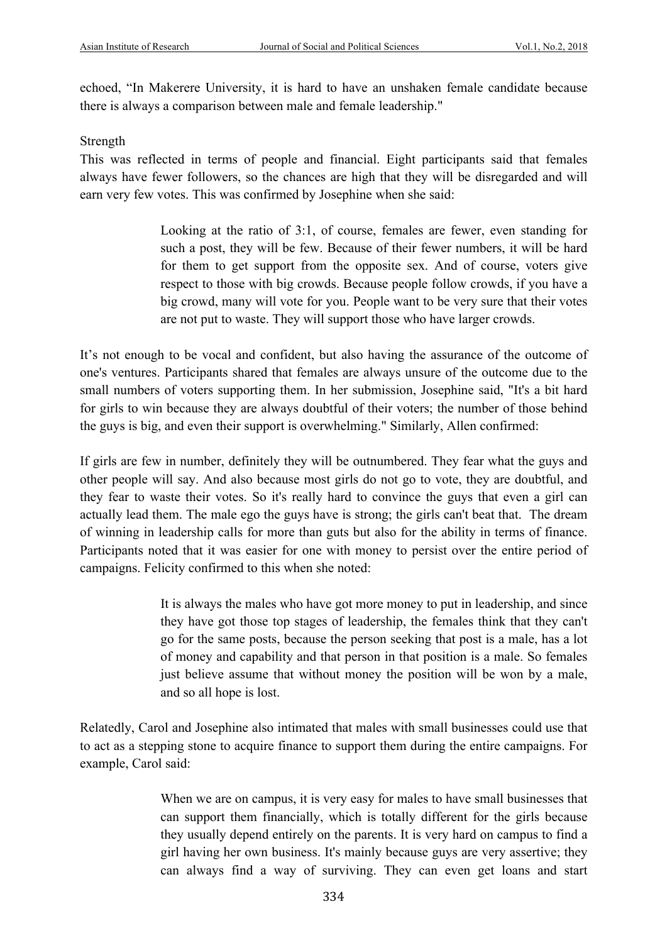echoed, "In Makerere University, it is hard to have an unshaken female candidate because there is always a comparison between male and female leadership."

### Strength

This was reflected in terms of people and financial. Eight participants said that females always have fewer followers, so the chances are high that they will be disregarded and will earn very few votes. This was confirmed by Josephine when she said:

> Looking at the ratio of 3:1, of course, females are fewer, even standing for such a post, they will be few. Because of their fewer numbers, it will be hard for them to get support from the opposite sex. And of course, voters give respect to those with big crowds. Because people follow crowds, if you have a big crowd, many will vote for you. People want to be very sure that their votes are not put to waste. They will support those who have larger crowds.

It's not enough to be vocal and confident, but also having the assurance of the outcome of one's ventures. Participants shared that females are always unsure of the outcome due to the small numbers of voters supporting them. In her submission, Josephine said, "It's a bit hard for girls to win because they are always doubtful of their voters; the number of those behind the guys is big, and even their support is overwhelming." Similarly, Allen confirmed:

If girls are few in number, definitely they will be outnumbered. They fear what the guys and other people will say. And also because most girls do not go to vote, they are doubtful, and they fear to waste their votes. So it's really hard to convince the guys that even a girl can actually lead them. The male ego the guys have is strong; the girls can't beat that. The dream of winning in leadership calls for more than guts but also for the ability in terms of finance. Participants noted that it was easier for one with money to persist over the entire period of campaigns. Felicity confirmed to this when she noted:

> It is always the males who have got more money to put in leadership, and since they have got those top stages of leadership, the females think that they can't go for the same posts, because the person seeking that post is a male, has a lot of money and capability and that person in that position is a male. So females just believe assume that without money the position will be won by a male, and so all hope is lost.

Relatedly, Carol and Josephine also intimated that males with small businesses could use that to act as a stepping stone to acquire finance to support them during the entire campaigns. For example, Carol said:

> When we are on campus, it is very easy for males to have small businesses that can support them financially, which is totally different for the girls because they usually depend entirely on the parents. It is very hard on campus to find a girl having her own business. It's mainly because guys are very assertive; they can always find a way of surviving. They can even get loans and start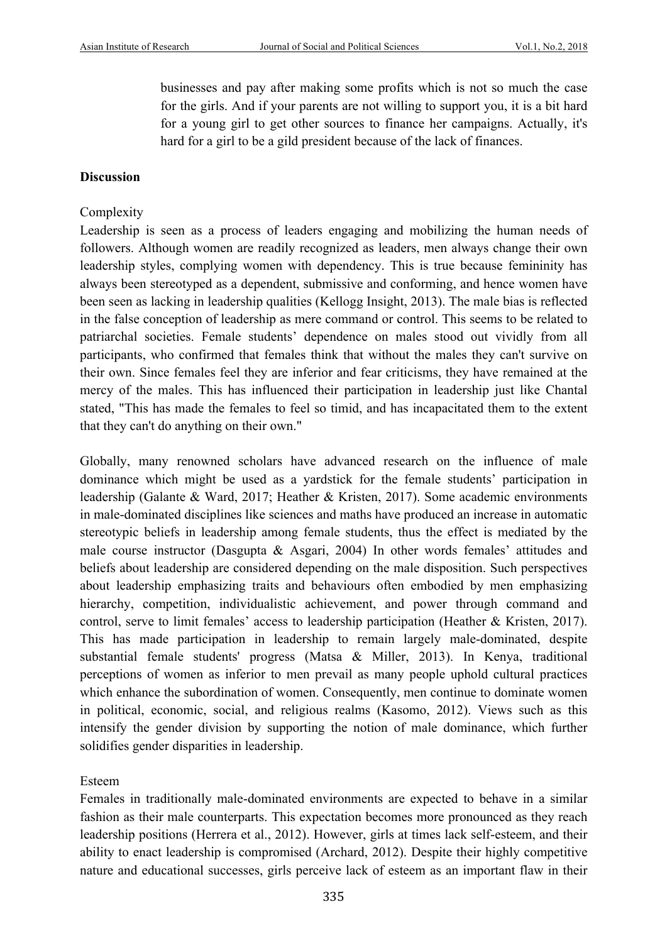businesses and pay after making some profits which is not so much the case for the girls. And if your parents are not willing to support you, it is a bit hard for a young girl to get other sources to finance her campaigns. Actually, it's hard for a girl to be a gild president because of the lack of finances.

# **Discussion**

# Complexity

Leadership is seen as a process of leaders engaging and mobilizing the human needs of followers. Although women are readily recognized as leaders, men always change their own leadership styles, complying women with dependency. This is true because femininity has always been stereotyped as a dependent, submissive and conforming, and hence women have been seen as lacking in leadership qualities (Kellogg Insight, 2013). The male bias is reflected in the false conception of leadership as mere command or control. This seems to be related to patriarchal societies. Female students' dependence on males stood out vividly from all participants, who confirmed that females think that without the males they can't survive on their own. Since females feel they are inferior and fear criticisms, they have remained at the mercy of the males. This has influenced their participation in leadership just like Chantal stated, "This has made the females to feel so timid, and has incapacitated them to the extent that they can't do anything on their own."

Globally, many renowned scholars have advanced research on the influence of male dominance which might be used as a yardstick for the female students' participation in leadership (Galante & Ward, 2017; Heather & Kristen, 2017). Some academic environments in male-dominated disciplines like sciences and maths have produced an increase in automatic stereotypic beliefs in leadership among female students, thus the effect is mediated by the male course instructor (Dasgupta & Asgari, 2004) In other words females' attitudes and beliefs about leadership are considered depending on the male disposition. Such perspectives about leadership emphasizing traits and behaviours often embodied by men emphasizing hierarchy, competition, individualistic achievement, and power through command and control, serve to limit females' access to leadership participation (Heather & Kristen, 2017). This has made participation in leadership to remain largely male-dominated, despite substantial female students' progress (Matsa & Miller, 2013). In Kenya, traditional perceptions of women as inferior to men prevail as many people uphold cultural practices which enhance the subordination of women. Consequently, men continue to dominate women in political, economic, social, and religious realms (Kasomo, 2012). Views such as this intensify the gender division by supporting the notion of male dominance, which further solidifies gender disparities in leadership.

# Esteem

Females in traditionally male-dominated environments are expected to behave in a similar fashion as their male counterparts. This expectation becomes more pronounced as they reach leadership positions (Herrera et al., 2012). However, girls at times lack self-esteem, and their ability to enact leadership is compromised (Archard, 2012). Despite their highly competitive nature and educational successes, girls perceive lack of esteem as an important flaw in their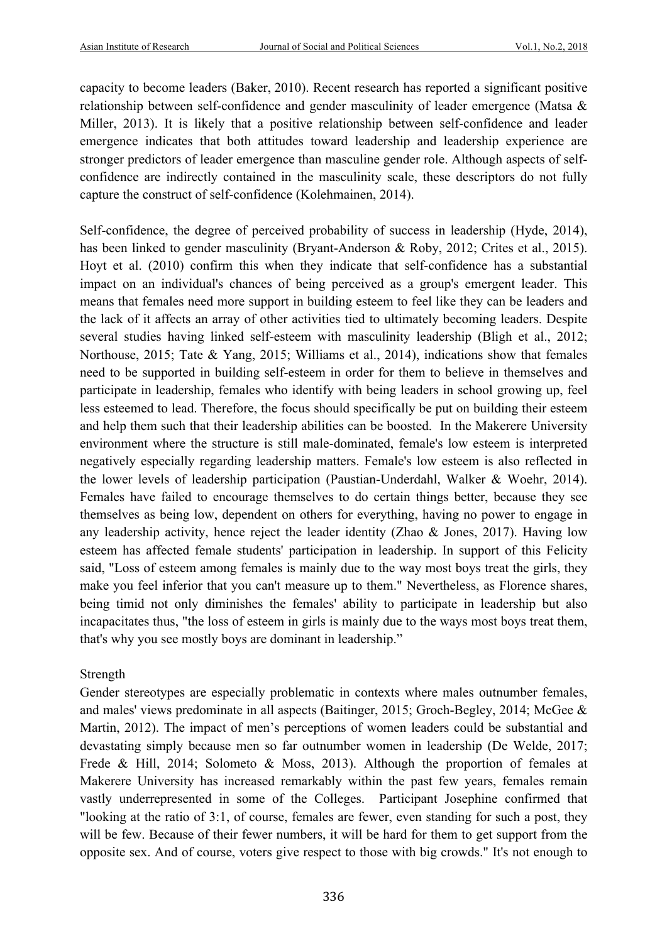capacity to become leaders (Baker, 2010). Recent research has reported a significant positive relationship between self-confidence and gender masculinity of leader emergence (Matsa & Miller, 2013). It is likely that a positive relationship between self-confidence and leader emergence indicates that both attitudes toward leadership and leadership experience are stronger predictors of leader emergence than masculine gender role. Although aspects of selfconfidence are indirectly contained in the masculinity scale, these descriptors do not fully capture the construct of self-confidence (Kolehmainen, 2014).

Self-confidence, the degree of perceived probability of success in leadership (Hyde, 2014), has been linked to gender masculinity (Bryant-Anderson & Roby, 2012; Crites et al., 2015). Hoyt et al. (2010) confirm this when they indicate that self-confidence has a substantial impact on an individual's chances of being perceived as a group's emergent leader. This means that females need more support in building esteem to feel like they can be leaders and the lack of it affects an array of other activities tied to ultimately becoming leaders. Despite several studies having linked self-esteem with masculinity leadership (Bligh et al., 2012; Northouse, 2015; Tate & Yang, 2015; Williams et al., 2014), indications show that females need to be supported in building self-esteem in order for them to believe in themselves and participate in leadership, females who identify with being leaders in school growing up, feel less esteemed to lead. Therefore, the focus should specifically be put on building their esteem and help them such that their leadership abilities can be boosted. In the Makerere University environment where the structure is still male-dominated, female's low esteem is interpreted negatively especially regarding leadership matters. Female's low esteem is also reflected in the lower levels of leadership participation (Paustian-Underdahl, Walker & Woehr, 2014). Females have failed to encourage themselves to do certain things better, because they see themselves as being low, dependent on others for everything, having no power to engage in any leadership activity, hence reject the leader identity (Zhao & Jones, 2017). Having low esteem has affected female students' participation in leadership. In support of this Felicity said, "Loss of esteem among females is mainly due to the way most boys treat the girls, they make you feel inferior that you can't measure up to them." Nevertheless, as Florence shares, being timid not only diminishes the females' ability to participate in leadership but also incapacitates thus, "the loss of esteem in girls is mainly due to the ways most boys treat them, that's why you see mostly boys are dominant in leadership."

# Strength

Gender stereotypes are especially problematic in contexts where males outnumber females, and males' views predominate in all aspects (Baitinger, 2015; Groch-Begley, 2014; McGee & Martin, 2012). The impact of men's perceptions of women leaders could be substantial and devastating simply because men so far outnumber women in leadership (De Welde, 2017; Frede & Hill, 2014; Solometo & Moss, 2013). Although the proportion of females at Makerere University has increased remarkably within the past few years, females remain vastly underrepresented in some of the Colleges. Participant Josephine confirmed that "looking at the ratio of 3:1, of course, females are fewer, even standing for such a post, they will be few. Because of their fewer numbers, it will be hard for them to get support from the opposite sex. And of course, voters give respect to those with big crowds." It's not enough to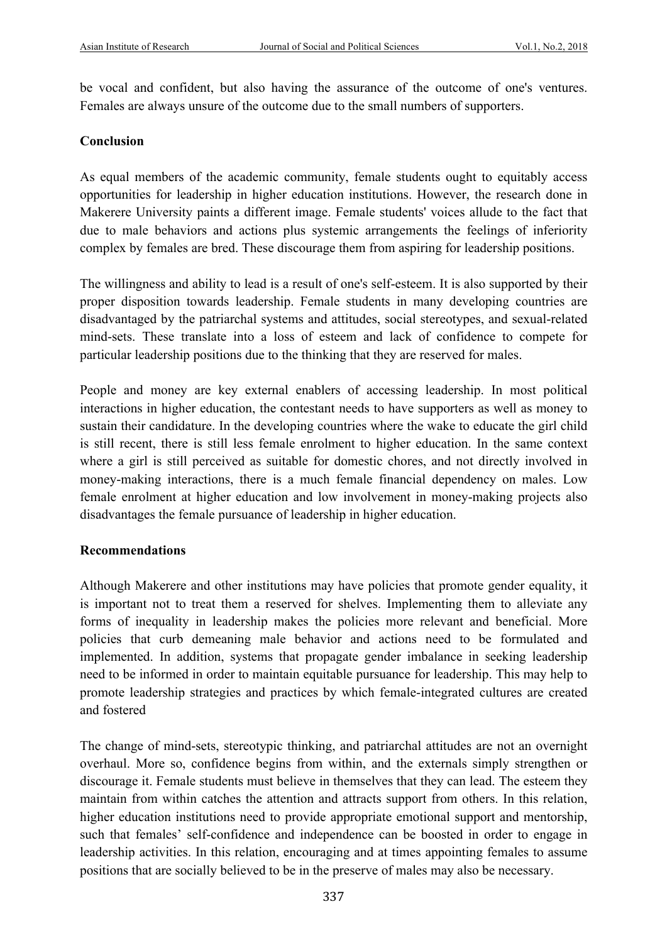be vocal and confident, but also having the assurance of the outcome of one's ventures. Females are always unsure of the outcome due to the small numbers of supporters.

# **Conclusion**

As equal members of the academic community, female students ought to equitably access opportunities for leadership in higher education institutions. However, the research done in Makerere University paints a different image. Female students' voices allude to the fact that due to male behaviors and actions plus systemic arrangements the feelings of inferiority complex by females are bred. These discourage them from aspiring for leadership positions.

The willingness and ability to lead is a result of one's self-esteem. It is also supported by their proper disposition towards leadership. Female students in many developing countries are disadvantaged by the patriarchal systems and attitudes, social stereotypes, and sexual-related mind-sets. These translate into a loss of esteem and lack of confidence to compete for particular leadership positions due to the thinking that they are reserved for males.

People and money are key external enablers of accessing leadership. In most political interactions in higher education, the contestant needs to have supporters as well as money to sustain their candidature. In the developing countries where the wake to educate the girl child is still recent, there is still less female enrolment to higher education. In the same context where a girl is still perceived as suitable for domestic chores, and not directly involved in money-making interactions, there is a much female financial dependency on males. Low female enrolment at higher education and low involvement in money-making projects also disadvantages the female pursuance of leadership in higher education.

# **Recommendations**

Although Makerere and other institutions may have policies that promote gender equality, it is important not to treat them a reserved for shelves. Implementing them to alleviate any forms of inequality in leadership makes the policies more relevant and beneficial. More policies that curb demeaning male behavior and actions need to be formulated and implemented. In addition, systems that propagate gender imbalance in seeking leadership need to be informed in order to maintain equitable pursuance for leadership. This may help to promote leadership strategies and practices by which female-integrated cultures are created and fostered

The change of mind-sets, stereotypic thinking, and patriarchal attitudes are not an overnight overhaul. More so, confidence begins from within, and the externals simply strengthen or discourage it. Female students must believe in themselves that they can lead. The esteem they maintain from within catches the attention and attracts support from others. In this relation, higher education institutions need to provide appropriate emotional support and mentorship, such that females' self-confidence and independence can be boosted in order to engage in leadership activities. In this relation, encouraging and at times appointing females to assume positions that are socially believed to be in the preserve of males may also be necessary.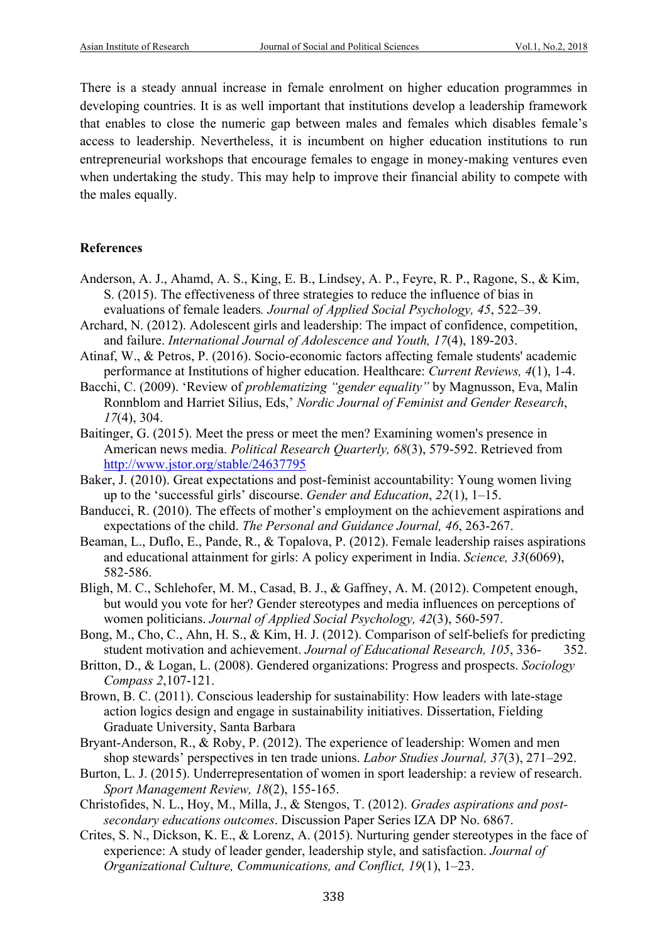There is a steady annual increase in female enrolment on higher education programmes in developing countries. It is as well important that institutions develop a leadership framework that enables to close the numeric gap between males and females which disables female's access to leadership. Nevertheless, it is incumbent on higher education institutions to run entrepreneurial workshops that encourage females to engage in money-making ventures even when undertaking the study. This may help to improve their financial ability to compete with the males equally.

#### **References**

- Anderson, A. J., Ahamd, A. S., King, E. B., Lindsey, A. P., Feyre, R. P., Ragone, S., & Kim, S. (2015). The effectiveness of three strategies to reduce the influence of bias in evaluations of female leaders*. Journal of Applied Social Psychology, 45*, 522–39.
- Archard, N. (2012). Adolescent girls and leadership: The impact of confidence, competition, and failure. *International Journal of Adolescence and Youth, 17*(4), 189-203.
- Atinaf, W., & Petros, P. (2016). Socio-economic factors affecting female students' academic performance at Institutions of higher education. Healthcare: *Current Reviews, 4*(1), 1-4.
- Bacchi, C. (2009). 'Review of *problematizing "gender equality"* by Magnusson, Eva, Malin Ronnblom and Harriet Silius, Eds,' *Nordic Journal of Feminist and Gender Research*, *17*(4), 304.
- Baitinger, G. (2015). Meet the press or meet the men? Examining women's presence in American news media. *Political Research Quarterly, 68*(3), 579-592. Retrieved from http://www.jstor.org/stable/24637795
- Baker, J. (2010). Great expectations and post-feminist accountability: Young women living up to the 'successful girls' discourse. *Gender and Education*, *22*(1), 1–15.
- Banducci, R. (2010). The effects of mother's employment on the achievement aspirations and expectations of the child. *The Personal and Guidance Journal, 46*, 263-267.
- Beaman, L., Duflo, E., Pande, R., & Topalova, P. (2012). Female leadership raises aspirations and educational attainment for girls: A policy experiment in India. *Science, 33*(6069), 582-586.
- Bligh, M. C., Schlehofer, M. M., Casad, B. J., & Gaffney, A. M. (2012). Competent enough, but would you vote for her? Gender stereotypes and media influences on perceptions of women politicians. *Journal of Applied Social Psychology, 42*(3), 560-597.
- Bong, M., Cho, C., Ahn, H. S., & Kim, H. J. (2012). Comparison of self-beliefs for predicting student motivation and achievement. *Journal of Educational Research, 105*, 336- 352.
- Britton, D., & Logan, L. (2008). Gendered organizations: Progress and prospects. *Sociology Compass 2*,107-121.
- Brown, B. C. (2011). Conscious leadership for sustainability: How leaders with late-stage action logics design and engage in sustainability initiatives. Dissertation, Fielding Graduate University, Santa Barbara
- Bryant-Anderson, R., & Roby, P. (2012). The experience of leadership: Women and men shop stewards' perspectives in ten trade unions. *Labor Studies Journal, 37*(3), 271–292.
- Burton, L. J. (2015). Underrepresentation of women in sport leadership: a review of research. *Sport Management Review, 18*(2), 155-165.
- Christofides, N. L., Hoy, M., Milla, J., & Stengos, T. (2012). *Grades aspirations and postsecondary educations outcomes*. Discussion Paper Series IZA DP No. 6867.
- Crites, S. N., Dickson, K. E., & Lorenz, A. (2015). Nurturing gender stereotypes in the face of experience: A study of leader gender, leadership style, and satisfaction. *Journal of Organizational Culture, Communications, and Conflict, 19*(1), 1–23.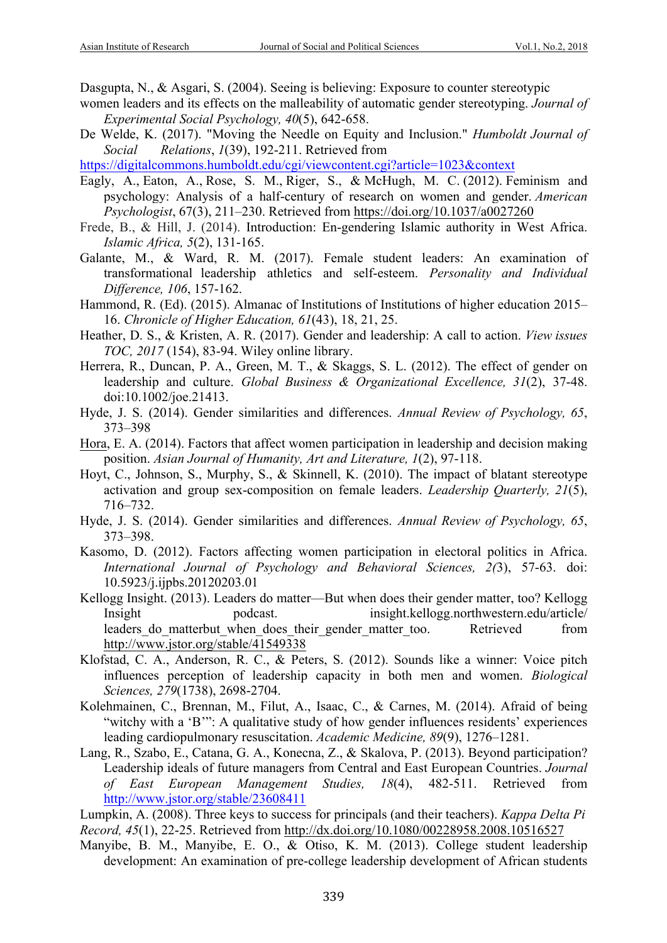Dasgupta, N., & Asgari, S. (2004). Seeing is believing: Exposure to counter stereotypic

- women leaders and its effects on the malleability of automatic gender stereotyping. *Journal of Experimental Social Psychology, 40*(5), 642-658.
- De Welde, K. (2017). "Moving the Needle on Equity and Inclusion." *Humboldt Journal of Social Relations*, *1*(39), 192-211. Retrieved from

https://digitalcommons.humboldt.edu/cgi/viewcontent.cgi?article=1023&context

- Eagly, A., Eaton, A., Rose, S. M., Riger, S., & McHugh, M. C. (2012). Feminism and psychology: Analysis of a half-century of research on women and gender. *American Psychologist*, 67(3), 211–230. Retrieved from https://doi.org/10.1037/a0027260
- Frede, B., & Hill, J. (2014). Introduction: En-gendering Islamic authority in West Africa. *Islamic Africa, 5*(2), 131-165.
- Galante, M., & Ward, R. M. (2017). Female student leaders: An examination of transformational leadership athletics and self-esteem. *Personality and Individual Difference, 106*, 157-162.
- Hammond, R. (Ed). (2015). Almanac of Institutions of Institutions of higher education 2015– 16. *Chronicle of Higher Education, 61*(43), 18, 21, 25.
- Heather, D. S., & Kristen, A. R. (2017). Gender and leadership: A call to action. *View issues TOC, 2017* (154), 83-94. Wiley online library.
- Herrera, R., Duncan, P. A., Green, M. T., & Skaggs, S. L. (2012). The effect of gender on leadership and culture. *Global Business & Organizational Excellence, 31*(2), 37-48. doi:10.1002/joe.21413.
- Hyde, J. S. (2014). Gender similarities and differences. *Annual Review of Psychology, 65*, 373–398
- Hora, E. A. (2014). Factors that affect women participation in leadership and decision making position. *Asian Journal of Humanity, Art and Literature, 1*(2), 97-118.
- Hoyt, C., Johnson, S., Murphy, S., & Skinnell, K. (2010). The impact of blatant stereotype activation and group sex-composition on female leaders. *Leadership Quarterly, 21*(5), 716–732.
- Hyde, J. S. (2014). Gender similarities and differences. *Annual Review of Psychology, 65*, 373–398.
- Kasomo, D. (2012). Factors affecting women participation in electoral politics in Africa. *International Journal of Psychology and Behavioral Sciences, 2(*3), 57-63. doi: 10.5923/j.ijpbs.20120203.01
- Kellogg Insight. (2013). Leaders do matter—But when does their gender matter, too? Kellogg Insight podcast. insight.kellogg.northwestern.edu/article/ leaders do matterbut when does their gender matter too. Retrieved from http://www.jstor.org/stable/41549338
- Klofstad, C. A., Anderson, R. C., & Peters, S. (2012). Sounds like a winner: Voice pitch influences perception of leadership capacity in both men and women. *Biological Sciences, 279*(1738), 2698-2704.
- Kolehmainen, C., Brennan, M., Filut, A., Isaac, C., & Carnes, M. (2014). Afraid of being "witchy with a 'B'": A qualitative study of how gender influences residents' experiences leading cardiopulmonary resuscitation. *Academic Medicine, 89*(9), 1276–1281.
- Lang, R., Szabo, E., Catana, G. A., Konecna, Z., & Skalova, P. (2013). Beyond participation? Leadership ideals of future managers from Central and East European Countries. *Journal of East European Management Studies, 18*(4), 482-511. Retrieved from http://www.jstor.org/stable/23608411
- Lumpkin, A. (2008). Three keys to success for principals (and their teachers). *Kappa Delta Pi Record, 45*(1), 22-25. Retrieved from http://dx.doi.org/10.1080/00228958.2008.10516527
- Manyibe, B. M., Manyibe, E. O., & Otiso, K. M. (2013). College student leadership development: An examination of pre-college leadership development of African students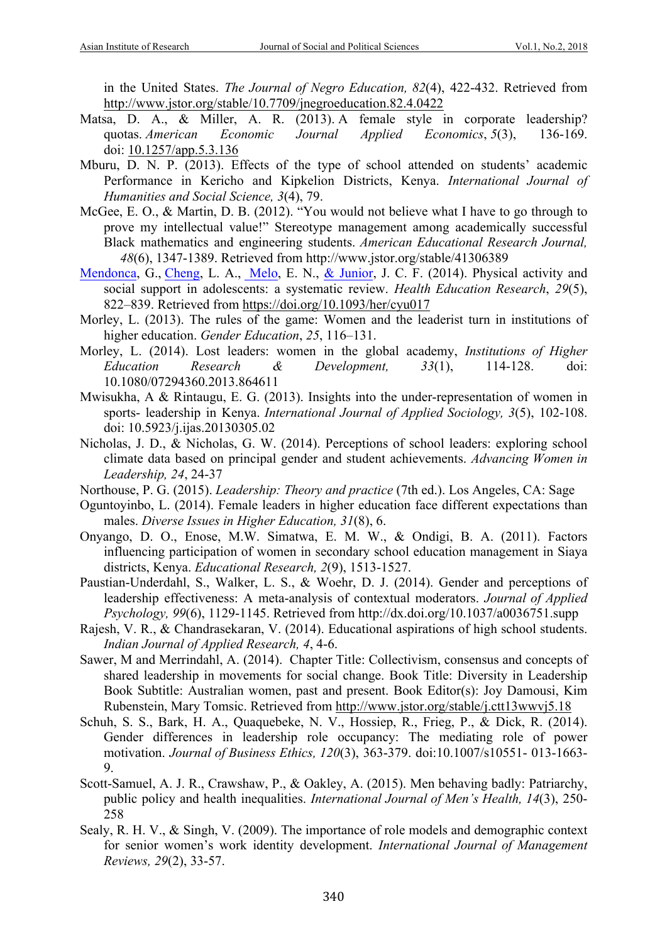in the United States. *The Journal of Negro Education, 82*(4), 422-432. Retrieved from http://www.jstor.org/stable/10.7709/jnegroeducation.82.4.0422

- Matsa, D. A., & Miller, A. R. (2013). A female style in corporate leadership? quotas. *American Economic Journal Applied Economics*, *5*(3), 136-169. doi: 10.1257/app.5.3.136
- Mburu, D. N. P. (2013). Effects of the type of school attended on students' academic Performance in Kericho and Kipkelion Districts, Kenya. *International Journal of Humanities and Social Science, 3*(4), 79.
- McGee, E. O., & Martin, D. B. (2012). "You would not believe what I have to go through to prove my intellectual value!" Stereotype management among academically successful Black mathematics and engineering students. *American Educational Research Journal, 48*(6), 1347-1389. Retrieved from http://www.jstor.org/stable/41306389
- Mendonca, G., Cheng, L. A., Melo, E. N., & Junior, J. C. F. (2014). Physical activity and social support in adolescents: a systematic review. *Health Education Research*, *29*(5), 822–839. Retrieved from https://doi.org/10.1093/her/cyu017
- Morley, L. (2013). The rules of the game: Women and the leaderist turn in institutions of higher education. *Gender Education*, *25*, 116–131.
- Morley, L. (2014). Lost leaders: women in the global academy, *Institutions of Higher Education Research & Development, 33*(1), 114-128. doi: 10.1080/07294360.2013.864611
- Mwisukha, A & Rintaugu, E. G. (2013). Insights into the under-representation of women in sports- leadership in Kenya. *International Journal of Applied Sociology, 3*(5), 102-108. doi: 10.5923/j.ijas.20130305.02
- Nicholas, J. D., & Nicholas, G. W. (2014). Perceptions of school leaders: exploring school climate data based on principal gender and student achievements. *Advancing Women in Leadership, 24*, 24-37
- Northouse, P. G. (2015). *Leadership: Theory and practice* (7th ed.). Los Angeles, CA: Sage
- Oguntoyinbo, L. (2014). Female leaders in higher education face different expectations than males. *Diverse Issues in Higher Education, 31*(8), 6.
- Onyango, D. O., Enose, M.W. Simatwa, E. M. W., & Ondigi, B. A. (2011). Factors influencing participation of women in secondary school education management in Siaya districts, Kenya. *Educational Research, 2*(9), 1513-1527.
- Paustian-Underdahl, S., Walker, L. S., & Woehr, D. J. (2014). Gender and perceptions of leadership effectiveness: A meta-analysis of contextual moderators. *Journal of Applied Psychology, 99*(6), 1129-1145. Retrieved from http://dx.doi.org/10.1037/a0036751.supp
- Rajesh, V. R., & Chandrasekaran, V. (2014). Educational aspirations of high school students. *Indian Journal of Applied Research, 4*, 4-6.
- Sawer, M and Merrindahl, A. (2014). Chapter Title: Collectivism, consensus and concepts of shared leadership in movements for social change. Book Title: Diversity in Leadership Book Subtitle: Australian women, past and present. Book Editor(s): Joy Damousi, Kim Rubenstein, Mary Tomsic. Retrieved from http://www.jstor.org/stable/j.ctt13wwvj5.18
- Schuh, S. S., Bark, H. A., Quaquebeke, N. V., Hossiep, R., Frieg, P., & Dick, R. (2014). Gender differences in leadership role occupancy: The mediating role of power motivation. *Journal of Business Ethics, 120*(3), 363-379. doi:10.1007/s10551- 013-1663- 9.
- Scott-Samuel, A. J. R., Crawshaw, P., & Oakley, A. (2015). Men behaving badly: Patriarchy, public policy and health inequalities. *International Journal of Men's Health, 14*(3), 250- 258
- Sealy, R. H. V., & Singh, V. (2009). The importance of role models and demographic context for senior women's work identity development. *International Journal of Management Reviews, 29*(2), 33-57.